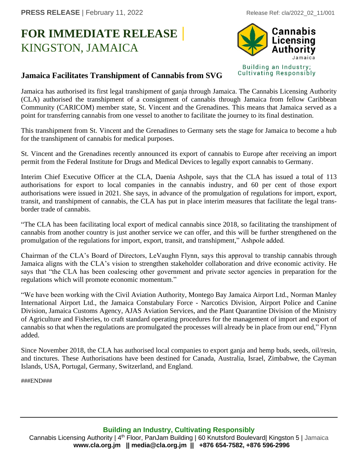## **FOR IMMEDIATE RELEASE |** KINGSTON, JAMAICA



## **Jamaica Facilitates Transhipment of Cannabis from SVG**

Jamaica has authorised its first legal transhipment of ganja through Jamaica. The Cannabis Licensing Authority (CLA) authorised the transhipment of a consignment of cannabis through Jamaica from fellow Caribbean Community (CARICOM) member state, St. Vincent and the Grenadines. This means that Jamaica served as a point for transferring cannabis from one vessel to another to facilitate the journey to its final destination.

This transhipment from St. Vincent and the Grenadines to Germany sets the stage for Jamaica to become a hub for the transhipment of cannabis for medical purposes.

St. Vincent and the Grenadines recently announced its export of cannabis to Europe after receiving an import permit from the Federal Institute for Drugs and Medical Devices to legally export cannabis to Germany.

Interim Chief Executive Officer at the CLA, Daenia Ashpole, says that the CLA has issued a total of 113 authorisations for export to local companies in the cannabis industry, and 60 per cent of those export authorisations were issued in 2021. She says, in advance of the promulgation of regulations for import, export, transit, and transhipment of cannabis, the CLA has put in place interim measures that facilitate the legal transborder trade of cannabis.

"The CLA has been facilitating local export of medical cannabis since 2018, so facilitating the transhipment of cannabis from another country is just another service we can offer, and this will be further strengthened on the promulgation of the regulations for import, export, transit, and transhipment," Ashpole added.

Chairman of the CLA's Board of Directors, LeVaughn Flynn, says this approval to tranship cannabis through Jamaica aligns with the CLA's vision to strengthen stakeholder collaboration and drive economic activity. He says that "the CLA has been coalescing other government and private sector agencies in preparation for the regulations which will promote economic momentum."

"We have been working with the Civil Aviation Authority, Montego Bay Jamaica Airport Ltd., Norman Manley International Airport Ltd., the Jamaica Constabulary Force - Narcotics Division, Airport Police and Canine Division, Jamaica Customs Agency, AJAS Aviation Services, and the Plant Quarantine Division of the Ministry of Agriculture and Fisheries, to craft standard operating procedures for the management of import and export of cannabis so that when the regulations are promulgated the processes will already be in place from our end," Flynn added.

Since November 2018, the CLA has authorised local companies to export ganja and hemp buds, seeds, oil/resin, and tinctures. These Authorisations have been destined for Canada, Australia, Israel, Zimbabwe, the Cayman Islands, USA, Portugal, Germany, Switzerland, and England.

###END###